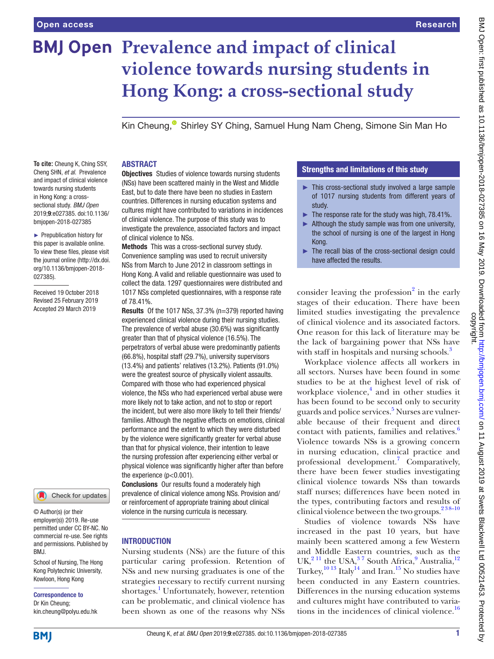# **BMJ Open Prevalence and impact of clinical violence towards nursing students in Hong Kong: a cross-sectional study**

Kin Cheung[,](http://orcid.org/0000-0002-8419-4847)<sup>®</sup> Shirley SY Ching, Samuel Hung Nam Cheng, Simone Sin Man Ho

#### **To cite:** Cheung K, Ching SSY, Cheng SHN, *et al*. Prevalence and impact of clinical violence towards nursing students in Hong Kong: a crosssectional study. *BMJ Open* 2019;9:e027385. doi:10.1136/ bmjopen-2018-027385

► Prepublication history for this paper is available online. To view these files, please visit the journal online [\(http://dx.doi.](http://dx.doi.org/10.1136/bmjopen-2018-027385) [org/10.1136/bmjopen-2018-](http://dx.doi.org/10.1136/bmjopen-2018-027385) [027385\)](http://dx.doi.org/10.1136/bmjopen-2018-027385).

Received 19 October 2018 Revised 25 February 2019 Accepted 29 March 2019



© Author(s) (or their employer(s)) 2019. Re-use permitted under CC BY-NC. No commercial re-use. See rights and permissions. Published by BMJ.

School of Nursing, The Hong Kong Polytechnic University, Kowloon, Hong Kong

Correspondence to

Dr Kin Cheung; kin.cheung@polyu.edu.hk

#### **ABSTRACT**

**Objectives** Studies of violence towards nursing students (NSs) have been scattered mainly in the West and Middle East, but to date there have been no studies in Eastern countries. Differences in nursing education systems and cultures might have contributed to variations in incidences of clinical violence. The purpose of this study was to investigate the prevalence, associated factors and impact of clinical violence to NSs.

Methods This was a cross-sectional survey study. Convenience sampling was used to recruit university NSs from March to June 2012 in classroom settings in Hong Kong. A valid and reliable questionnaire was used to collect the data. 1297 questionnaires were distributed and 1017 NSs completed questionnaires, with a response rate of 78.41%.

Results Of the 1017 NSs, 37.3% (n=379) reported having experienced clinical violence during their nursing studies. The prevalence of verbal abuse (30.6%) was significantly greater than that of physical violence (16.5%). The perpetrators of verbal abuse were predominantly patients (66.8%), hospital staff (29.7%), university supervisors (13.4%) and patients' relatives (13.2%). Patients (91.0%) were the greatest source of physically violent assaults. Compared with those who had experienced physical violence, the NSs who had experienced verbal abuse were more likely not to take action, and not to stop or report the incident, but were also more likely to tell their friends/ families. Although the negative effects on emotions, clinical performance and the extent to which they were disturbed by the violence were significantly greater for verbal abuse than that for physical violence, their intention to leave the nursing profession after experiencing either verbal or physical violence was significantly higher after than before the experience (p<0.001).

Conclusions Our results found a moderately high prevalence of clinical violence among NSs. Provision and/ or reinforcement of appropriate training about clinical violence in the nursing curricula is necessary.

#### **INTRODUCTION**

Nursing students (NSs) are the future of this particular caring profession. Retention of NSs and new nursing graduates is one of the strategies necessary to rectify current nursing shortages.<sup>[1](#page-9-0)</sup> Unfortunately, however, retention can be problematic, and clinical violence has been shown as one of the reasons why NSs

#### Strengths and limitations of this study

- ► This cross-sectional study involved a large sample of 1017 nursing students from different years of study.
- $\blacktriangleright$  The response rate for the study was high, 78.41%.
- $\blacktriangleright$  Although the study sample was from one university, the school of nursing is one of the largest in Hong Kong.
- ► The recall bias of the cross-sectional design could have affected the results.

consider leaving the profession $2$  in the early stages of their education. There have been limited studies investigating the prevalence of clinical violence and its associated factors. One reason for this lack of literature may be the lack of bargaining power that NSs have with staff in hospitals and nursing schools.<sup>[3](#page-9-2)</sup>

Workplace violence affects all workers in all sectors. Nurses have been found in some studies to be at the highest level of risk of workplace violence,<sup>4</sup> and in other studies it has been found to be second only to security guards and police services.<sup>5</sup> Nurses are vulnerable because of their frequent and direct contact with patients, families and relatives.<sup>6</sup> Violence towards NSs is a growing concern in nursing education, clinical practice and professional development.<sup>[7](#page-9-6)</sup> Comparatively, there have been fewer studies investigating clinical violence towards NSs than towards staff nurses; differences have been noted in the types, contributing factors and results of clinical violence between the two groups. $238-10$ 

Studies of violence towards NSs have increased in the past 10 years, but have mainly been scattered among a few Western and Middle Eastern countries, such as the UK, $^{2}$ <sup>11</sup> the USA, $^{3}$ <sup>7</sup> South Africa, $^{9}$  Australia, $^{12}$  $^{12}$  $^{12}$ Turkey, $^{10\,13}$  Italy $^{14}$  and Iran.<sup>15</sup> No studies have been conducted in any Eastern countries. Differences in the nursing education systems and cultures might have contributed to variations in the incidences of clinical violence. $16$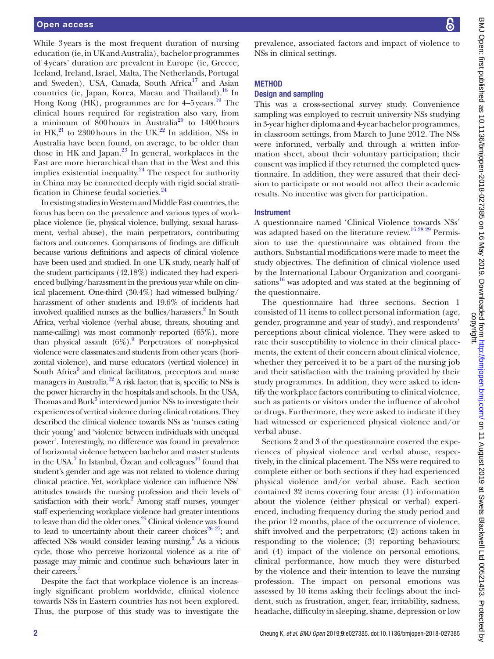While 3years is the most frequent duration of nursing education (ie, in UK and Australia), bachelor programmes of 4years' duration are prevalent in Europe (ie, Greece, Iceland, Ireland, Israel, Malta, The Netherlands, Portugal and Sweden), USA, Canada, South Africa<sup>17</sup> and Asian countries (ie, Japan, Korea, Macau and Thailand).<sup>18</sup> In Hong Kong (HK), programmes are for 4–5 years.<sup>[19](#page-9-15)</sup> The clinical hours required for registration also vary, from a minimum of  $800$  hours in Australia<sup>[20](#page-9-16)</sup> to 1400 hours in  $HK^{21}$  to 2300 hours in the UK.<sup>22</sup> In addition, NSs in Australia have been found, on average, to be older than those in HK and Japan. $^{23}$  In general, workplaces in the East are more hierarchical than that in the West and this implies existential inequality. $24$  The respect for authority in China may be connected deeply with rigid social strati-fication in Chinese feudal societies.<sup>[24](#page-9-20)</sup>

In existing studies in Western and Middle East countries, the focus has been on the prevalence and various types of workplace violence (ie, physical violence, bullying, sexual harassment, verbal abuse), the main perpetrators, contributing factors and outcomes. Comparisons of findings are difficult because various definitions and aspects of clinical violence have been used and studied. In one UK study, nearly half of the student participants (42.18%) indicated they had experienced bullying/harassment in the previous year while on clinical placement. One-third (30.4%) had witnessed bullying/ harassment of other students and 19.6% of incidents had involved qualified nurses as the bullies/harassers.<sup>2</sup> In South Africa, verbal violence (verbal abuse, threats, shouting and name-calling) was most commonly reported (65%), more than physical assault  $(6\%)$ . Perpetrators of non-physical violence were classmates and students from other years (horizontal violence), and nurse educators (vertical violence) in South Africa<sup>[9](#page-9-7)</sup> and clinical facilitators, preceptors and nurse managers in Australia.<sup>12</sup> A risk factor, that is, specific to NSs is the power hierarchy in the hospitals and schools. In the USA, Thomas and Burk<sup>3</sup> interviewed junior NSs to investigate their experiences of vertical violence during clinical rotations. They described the clinical violence towards NSs as 'nurses eating their young' and 'violence between individuals with unequal power'. Interestingly, no difference was found in prevalence of horizontal violence between bachelor and master students in the USA.<sup>7</sup> In Istanbul, Özcan and colleagues<sup>10</sup> found that student's gender and age was not related to violence during clinical practice. Yet, workplace violence can influence NSs' attitudes towards the nursing profession and their levels of satisfaction with their work. $^{2}$  $^{2}$  $^{2}$  Among staff nurses, younger staff experiencing workplace violence had greater intentions to leave than did the older ones.<sup>25</sup> Clinical violence was found to lead to uncertainty about their career choices<sup>26 27</sup>; and affected NSs would consider leaving nursing.<sup>2</sup> As a vicious cycle, those who perceive horizontal violence as a rite of passage may mimic and continue such behaviours later in their careers.<sup>7</sup>

Despite the fact that workplace violence is an increasingly significant problem worldwide, clinical violence towards NSs in Eastern countries has not been explored. Thus, the purpose of this study was to investigate the

prevalence, associated factors and impact of violence to NSs in clinical settings.

# **METHOD**

## Design and sampling

This was a cross-sectional survey study. Convenience sampling was employed to recruit university NSs studying in 3-year higher diploma and 4-year bachelor programmes, in classroom settings, from March to June 2012. The NSs were informed, verbally and through a written information sheet, about their voluntary participation; their consent was implied if they returned the completed questionnaire. In addition, they were assured that their decision to participate or not would not affect their academic results. No incentive was given for participation.

#### **Instrument**

A questionnaire named 'Clinical Violence towards NSs' was adapted based on the literature review.<sup>16 28 29</sup> Permission to use the questionnaire was obtained from the authors. Substantial modifications were made to meet the study objectives. The definition of clinical violence used by the International Labour Organization and coorganisations $^{16}$  was adopted and was stated at the beginning of the questionnaire.

The questionnaire had three sections. Section 1 consisted of 11 items to collect personal information (age, gender, programme and year of study), and respondents' perceptions about clinical violence. They were asked to rate their susceptibility to violence in their clinical placements, the extent of their concern about clinical violence, whether they perceived it to be a part of the nursing job and their satisfaction with the training provided by their study programmes. In addition, they were asked to identify the workplace factors contributing to clinical violence, such as patients or visitors under the influence of alcohol or drugs. Furthermore, they were asked to indicate if they had witnessed or experienced physical violence and/or verbal abuse.

Sections 2 and 3 of the questionnaire covered the experiences of physical violence and verbal abuse, respectively, in the clinical placement. The NSs were required to complete either or both sections if they had experienced physical violence and/or verbal abuse. Each section contained 32 items covering four areas: (1) information about the violence (either physical or verbal) experienced, including frequency during the study period and the prior 12 months, place of the occurrence of violence, shift involved and the perpetrators; (2) actions taken in responding to the violence; (3) reporting behaviours; and (4) impact of the violence on personal emotions, clinical performance, how much they were disturbed by the violence and their intention to leave the nursing profession. The impact on personal emotions was assessed by 10 items asking their feelings about the incident, such as frustration, anger, fear, irritability, sadness, headache, difficulty in sleeping, shame, depression or low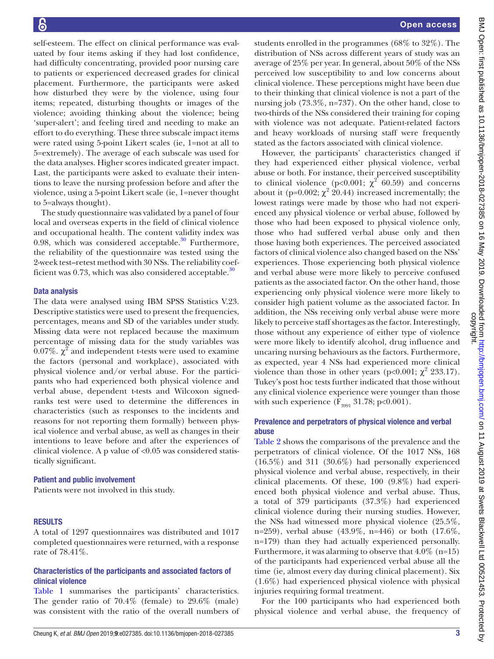self-esteem. The effect on clinical performance was evaluated by four items asking if they had lost confidence, had difficulty concentrating, provided poor nursing care to patients or experienced decreased grades for clinical placement. Furthermore, the participants were asked how disturbed they were by the violence, using four items; repeated, disturbing thoughts or images of the violence; avoiding thinking about the violence; being 'super-alert'; and feeling tired and needing to make an effort to do everything. These three subscale impact items were rated using 5-point Likert scales (ie, 1=not at all to 5=extremely). The average of each subscale was used for the data analyses. Higher scores indicated greater impact. Last, the participants were asked to evaluate their intentions to leave the nursing profession before and after the violence, using a 5-point Likert scale (ie, 1=never thought to 5=always thought).

The study questionnaire was validated by a panel of four local and overseas experts in the field of clinical violence and occupational health. The content validity index was 0.98, which was considered acceptable. $30$  Furthermore, the reliability of the questionnaire was tested using the 2-week test–retest method with 30 NSs. The reliability coefficient was 0.73, which was also considered acceptable.<sup>30</sup>

#### Data analysis

The data were analysed using IBM SPSS Statistics V.23. Descriptive statistics were used to present the frequencies, percentages, means and SD of the variables under study. Missing data were not replaced because the maximum percentage of missing data for the study variables was 0.07%.  $\chi^2$  and independent t-tests were used to examine the factors (personal and workplace), associated with physical violence and/or verbal abuse. For the participants who had experienced both physical violence and verbal abuse, dependent t-tests and Wilcoxon signedranks test were used to determine the differences in characteristics (such as responses to the incidents and reasons for not reporting them formally) between physical violence and verbal abuse, as well as changes in their intentions to leave before and after the experiences of clinical violence. A p value of <0.05 was considered statistically significant.

#### Patient and public involvement

Patients were not involved in this study.

# **RESULTS**

A total of 1297 questionnaires was distributed and 1017 completed questionnaires were returned, with a response rate of 78.41%.

#### Characteristics of the participants and associated factors of clinical violence

[Table](#page-3-0) 1 summarises the participants' characteristics. The gender ratio of 70.4% (female) to 29.6% (male) was consistent with the ratio of the overall numbers of students enrolled in the programmes (68% to 32%). The distribution of NSs across different years of study was an average of 25% per year. In general, about 50% of the NSs perceived low susceptibility to and low concerns about clinical violence. These perceptions might have been due to their thinking that clinical violence is not a part of the nursing job (73.3%, n=737). On the other hand, close to two-thirds of the NSs considered their training for coping with violence was not adequate. Patient-related factors and heavy workloads of nursing staff were frequently stated as the factors associated with clinical violence.

However, the participants' characteristics changed if they had experienced either physical violence, verbal abuse or both. For instance, their perceived susceptibility to clinical violence ( $p<0.001$ ;  $\chi^2$  60.59) and concerns about it (p=0.002;  $\chi^2$  20.44) increased incrementally; the lowest ratings were made by those who had not experienced any physical violence or verbal abuse, followed by those who had been exposed to physical violence only, those who had suffered verbal abuse only and then those having both experiences. The perceived associated factors of clinical violence also changed based on the NSs' experiences. Those experiencing both physical violence and verbal abuse were more likely to perceive confused patients as the associated factor. On the other hand, those experiencing only physical violence were more likely to consider high patient volume as the associated factor. In addition, the NSs receiving only verbal abuse were more likely to perceive staff shortages as the factor. Interestingly, those without any experience of either type of violence were more likely to identify alcohol, drug influence and uncaring nursing behaviours as the factors. Furthermore, as expected, year 4 NSs had experienced more clinical violence than those in other years ( $p<0.001$ ;  $\chi^2$  233.17). Tukey's post hoc tests further indicated that those without any clinical violence experience were younger than those with such experience  $(F_{3991} 31.78; p<0.001)$ .

# Prevalence and perpetrators of physical violence and verbal abuse

[Table](#page-5-0) 2 shows the comparisons of the prevalence and the perpetrators of clinical violence. Of the 1017 NSs, 168 (16.5%) and 311 (30.6%) had personally experienced physical violence and verbal abuse, respectively, in their clinical placements. Of these, 100 (9.8%) had experienced both physical violence and verbal abuse. Thus, a total of 379 participants (37.3%) had experienced clinical violence during their nursing studies. However, the NSs had witnessed more physical violence (25.5%, n=259), verbal abuse (43.9%, n=446) or both (17.6%, n=179) than they had actually experienced personally. Furthermore, it was alarming to observe that  $4.0\%$  (n=15) of the participants had experienced verbal abuse all the time (ie, almost every day during clinical placement). Six (1.6%) had experienced physical violence with physical injuries requiring formal treatment.

For the 100 participants who had experienced both physical violence and verbal abuse, the frequency of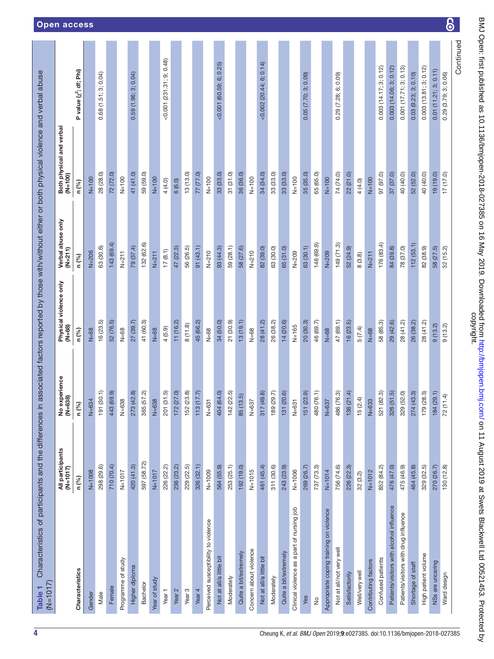<span id="page-3-0"></span>

| Characteristics<br>Female<br>Male<br>Gender | $(M=1017)$           | No experience<br>(N=638) | Physical violence only<br>(N=68) | Verbal abuse only<br>$(N=211)$ | Both physical and verbal<br>(N=100) |                             |
|---------------------------------------------|----------------------|--------------------------|----------------------------------|--------------------------------|-------------------------------------|-----------------------------|
|                                             | n (%)                | n (%)                    | n (%)                            | n (%)                          | n (%)                               | P value (x2; df; Phi)       |
|                                             | $N=1008$             | $N = 634$                | $N = 68$                         | $N=206$                        | $N=100$                             |                             |
|                                             | 298 (29.6)           | (30.1)<br>191            | 16(23.5)                         | 63 (30.6)                      | 28 (28.0)                           | 0.68(1.51; 3; 0.04)         |
|                                             | 710 (70.4)           | (69.9)<br>443            | 52 (76.5)                        | 143 (69.4)                     | 72 (72.0)                           |                             |
| Programme of study                          | $N = 1017$           | $N = 638$                | $N = 68$                         | $N = 211$                      | $N=100$                             |                             |
| Higher diploma                              | 420 (41.3)           | (42.8)<br>273            | 27(39.7)                         | 79 (37.4)                      | 41 (41.0)                           | 0.59(1.96; 3; 0.04)         |
| Bachelor                                    | 597 (58.72)          | (57.2)<br>365            | 41 (60.3)                        | 132 (62.6)                     | (59.0)<br>59                        |                             |
| Year of study                               | $N = 1017$           | $N=638$                  | $N = 68$                         | $N = 211$                      | $N=100$                             |                             |
| Year <sub>1</sub>                           | 226 (22.2)           | (31.5)<br>201            | 4(5.9)                           | 17(8.1)                        | 4 (4.0)                             | $<$ 0.001 (231.31; 9; 0.48) |
| Year 2                                      | 236 (23.2)           | (27.0)<br>172            | 11(16.2)                         | 47 (22.3)                      | 6(6.0)                              |                             |
| Year <sub>3</sub>                           | 229 (22.5)           | (23.8)<br>152            | 8(11.8)                          | 56 (26.5)                      | 13(13.0)                            |                             |
| Year <sub>4</sub>                           | 326 (32.1)           | (17.7)<br>113            | 45 (66.2)                        | 91 (43.1)                      | 77 (77.0)                           |                             |
| Perceived susceptibility to violence        | $N = 1009$           | $N = 631$                | $N = 68$                         | $N = 210$                      | $N = 100$                           |                             |
| Not at all/a little bit                     | 564 (55.9)           | (64.0)<br>404            | 34 (50.0)                        | 93 (44.3)                      | 33(33.0)                            | $<$ 0.001 (60.59; 6; 0.25)  |
| Moderately                                  | 253 (25.1)           | (22.5)<br>142            | 21 (30.9)                        | 59 (28.1)                      | 31(31.0)                            |                             |
| Quite a bit/extremely                       | 192 (19.0)           | 85 (13.5)                | 13(19.1)                         | 58 (27.6)                      | 36 (36.0)                           |                             |
| Concern about violence                      | $N=1015$             | $N = 637$                | $N = 68$                         | $N = 210$                      | $N = 100$                           |                             |
| Not at all/a little bit                     | 461 (45.4)           | (49.8)<br>317            | 28 (41.2)                        | 82 (39.0)                      | 34 (34.0)                           | $<0.002$ (20.44; 6; 0.14)   |
| Moderately                                  | 311 (30.6)           | (29.7)<br>189            | 26 (38.2)                        | 63 (30.0)                      | 33 (33.0)                           |                             |
| Quite a bit/extremely                       | 243 (23.9)           | (20.6)<br>131            | 14 (20.6)                        | 65 (31.0)                      | 33(33.0)                            |                             |
| Clinical violence as a part of nursing job  | N=1006               | $N = 631$                | $N = 165$                        | $N = 209$                      | $N = 100$                           |                             |
| Yes                                         | 269 (26.7)           | (23.9)<br>151            | 20(30.3)                         | 63 (30.1)                      | 35 (35.0)                           | 0.05(7.70; 3; 0.09)         |
| $\frac{\circ}{\sim}$                        | 737 (73.3)           | (76.1)<br>480            | 46 (69.7)                        | 146 (69.9)                     | 65 (65.0)                           |                             |
| Appropriate coping training on violence     | $N = 1014$           | $N = 637$                | $N = 68$                         | $N = 209$                      | $N=100$                             |                             |
| Not at all/not very well                    | 756 (74.6)           | (76.3)<br>486            | 47 (69.1)                        | 149 (71.3)                     | 74 (74.0)                           | 6; 0.09)<br>0.29 (7.28;     |
| Satisfactorily                              | <u>.</u><br>226 (22) | (21.4)<br>136            | 16(23.5)                         | 52 (24.9)                      | (21.0)<br>22                        |                             |
| Well/verywell                               | 32(3.2)              | 15(2.4)                  | 5 (7.4)                          | 8(3.8)                         | 4 (4.0)                             |                             |
| Contributing factors                        | $N = 1012$           | $N = 633$                | $N = 68$                         | $N=211$                        | $N=100$                             |                             |
| Confused patients                           | 852 (84.2)           | (82.3)<br>521            | 58 (85.3)                        | 176 (83.4)                     | 97 (97.0)                           | 0.003(14.17; 3; 0.12)       |
| Patients/visitors with alcohol influence    | 476 (47.0)           | (51.5)<br>326            | 29 (42.6)                        | 84 (39.8)                      | 37 (37.0)                           | 0.003 (14.06; 3; 0.12)      |
| Patients/visitors with drug influence       | 475 (46.9)           | (52.0)<br>329            | 28 (41.2)                        | 78 (37.0)                      | 40 (40.0)                           | 0.001(17.71; 3; 0.13)       |
| Shortage of staff                           | 464 (45.8)           | (43.3)<br>274            | 26 (38.2)                        | 112 (53.1                      | 52 (52.0)                           | $0.03$ $(9.23; 3; 0.10)$    |
| High patient volume                         | 329 (32.5)           | (28.3)<br>179            | 28 (41.2)                        | 82 (38.9)                      | 40 (40.0)                           | 0.003(13.81; 3; 0.12)       |
| NSs are uncaring                            | 270 (26.7)           | (29.1)<br>184            | 9(13.2)                          | 58 (27.5)<br>32 (15.2)         | 19(19.0)                            | (11.21; 3; 0.11)<br>0.01    |
| Ward design                                 | 130 (12.8)           | 72 (11.4)                | 9(13.2)                          |                                | 17(17.0)                            | 3; 0.06)<br>(3.79;<br>0.29  |

 $\overline{6}$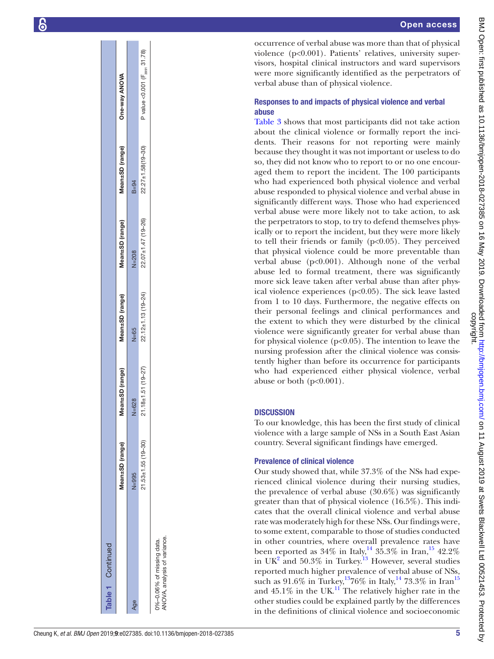| Table 1 Continued                                        |                          |                    |                          |                        |                           |                                           |
|----------------------------------------------------------|--------------------------|--------------------|--------------------------|------------------------|---------------------------|-------------------------------------------|
|                                                          | Mean±SD (range)          | ean±SD (range)     | Mean±SD (range)          | Mean±SD (range)        | Mean±SD (range)           | One-way ANOVA                             |
| Age                                                      | $N = 995$                | $N = 628$          | $N = 65$                 | $N = 208$              | $B = 94$                  |                                           |
|                                                          | $21.53 \pm 1.55$ (19-30) | 21.18±1.51 (19-27) | $22.12 \pm 1.13$ (19-24) | $22.07 + 1.47$ (19-26) | $22.27 \pm 1.58(19 - 30)$ | P value < 0.001 (F <sub>3991</sub> 31.78) |
| NOVA, analysis of variance.<br>0%-0.06% of missing data. |                          |                    |                          |                        |                           |                                           |

occurrence of verbal abuse was more than that of physical violence (p<0.001). Patients' relatives, university supervisors, hospital clinical instructors and ward supervisors were more significantly identified as the perpetrators of verbal abuse than of physical violence.

# Responses to and impacts of physical violence and verbal abuse

[Table](#page-6-0) 3 shows that most participants did not take action about the clinical violence or formally report the inci dents. Their reasons for not reporting were mainly because they thought it was not important or useless to do so, they did not know who to report to or no one encouraged them to report the incident. The 100 participants who had experienced both physical violence and verbal abuse responded to physical violence and verbal abuse in significantly different ways. Those who had experienced verbal abuse were more likely not to take action, to ask the perpetrators to stop, to try to defend themselves phys ically or to report the incident, but they were more likely to tell their friends or family  $(p<0.05)$ . They perceived that physical violence could be more preventable than verbal abuse (p<0.001). Although none of the verbal abuse led to formal treatment, there was significantly more sick leave taken after verbal abuse than after phys ical violence experiences (p<0.05). The sick leave lasted from 1 to 10 days. Furthermore, the negative effects on their personal feelings and clinical performances and the extent to which they were disturbed by the clinical violence were significantly greater for verbal abuse than for physical violence  $(p<0.05)$ . The intention to leave the nursing profession after the clinical violence was consis tently higher than before its occurrence for participants who had experienced either physical violence, verbal abuse or both  $(p<0.001)$ .

# **DISCUSSION**

To our knowledge, this has been the first study of clinical violence with a large sample of NSs in a South East Asian country. Several significant findings have emerged.

# Prevalence of clinical violence

Our study showed that, while 37.3% of the NSs had expe rienced clinical violence during their nursing studies, the prevalence of verbal abuse (30.6%) was significantly greater than that of physical violence (16.5%). This indi cates that the overall clinical violence and verbal abuse rate was moderately high for these NSs. Our findings were, to some extent, comparable to those of studies conducted in other countries, where overall prevalence rates have been reported as  $34\%$  in Italy,<sup>14</sup>  $35.3\%$  in Iran,<sup>15</sup> 42.2% in UK<sup>[2](#page-9-1)</sup> and 50.3% in Turkey.<sup>13</sup> However, several studies reported much higher prevalence of verbal abuse of NSs, such as 91.6% in Turkey,<sup>13</sup>76% in Italy,<sup>14</sup> 73.3% in Iran<sup>[15](#page-9-11)</sup> and  $45.1\%$  in the UK.<sup>11</sup> The relatively higher rate in the other studies could be explained partly by the differences in the definitions of clinical violence and socioeconomic

ँ ≼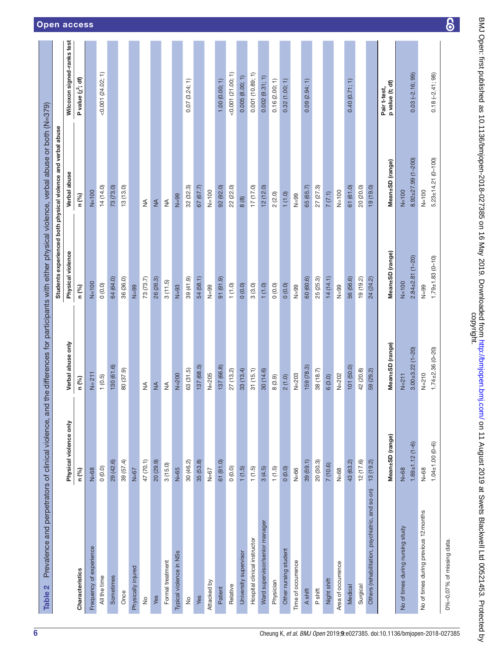<span id="page-5-0"></span>

| Prevalence and perpetrators of clinical violence, and<br>Table 2 |                         |                        |                        | the differences for participants with either physical violence, verbal abuse or both (N=379) |                                 |
|------------------------------------------------------------------|-------------------------|------------------------|------------------------|----------------------------------------------------------------------------------------------|---------------------------------|
|                                                                  |                         |                        |                        | Students experienced both physical violence and verbal abuse                                 |                                 |
|                                                                  | Physical violence only  | Verbal abuse only      | Physical violence      | Verbal abuse                                                                                 | Wilcoxon signed-ranks test      |
| <b>Characteristics</b>                                           | n (%)                   | n (%)                  | n (%)                  | n (%)                                                                                        | P value $(x^2; df)$             |
| Frequency of experience                                          | $N = 68$                | $N = 211$              | $N=100$                | $N=100$                                                                                      |                                 |
| All the time                                                     | 0(0.0)                  | 1(0.5)                 | (0.0)0                 | 14 (14.0)                                                                                    | $< 0.001$ (24.02; 1)            |
| Sometimes                                                        | 29 (42.6)               | 130 (61.6)             | 64 (64.0)              | 73 (73.0)                                                                                    |                                 |
| Once                                                             | 39 (57.4)               | 80 (37.9)              | 36 (36.0)              | 13(13.0)                                                                                     |                                 |
| Physically injured                                               | $N=67$                  |                        | $N=99$                 |                                                                                              |                                 |
| $\frac{1}{2}$                                                    | 47 (70.1)               | $\lessgtr$             | 73(73.7)               | $\lessgtr$                                                                                   |                                 |
| Yes                                                              | 20 (29.9)               | ₹                      | 26 (26.3)              | $\frac{4}{2}$                                                                                |                                 |
| Formal treatment                                                 | 3(15.0)                 | ≸                      | 3(11.5)                | $\lessgtr$                                                                                   |                                 |
| Typical violence in NSs                                          | $N=65$                  | $N=200$                | $N=93$                 | $N=99$                                                                                       |                                 |
| $\frac{1}{2}$                                                    | 30 (46.2)               | 63 (31.5)              | 39 (41.9)              | 32(32.3)                                                                                     | 0.07(3.24; 1)                   |
| Yes                                                              | 35 (53.8)               | 137(68.5)              | 54 (58.1)              | 67 (67.7)                                                                                    |                                 |
| Attacked by                                                      | $N = 67$                | $N = 205$              | $N=99$                 | $N=100$                                                                                      |                                 |
| Patient                                                          | 61 (91.0)               | 137 (66.8)             | 91 (91.9)              | 92 (92.0)                                                                                    | 1.00(0.00; 1)                   |
| Relative                                                         | 0(0.0)                  | 27 (13.2)              | 1(1.0)                 | 22 (22.0)                                                                                    | $<0.001$ (21.00; 1)             |
| University supervisor                                            | 1(1.5)                  | 33(13.4)               | 0(0.0)                 | 8(8)                                                                                         | 0.005(8.00; 1)                  |
| Hospital clinical instructor                                     | (1.5)                   | 31(15.1)               | 3(3.0)                 | 17 (17.0)                                                                                    | 0.001(10.89; 1)                 |
| Ward supervisor/senior manager                                   | 3(4.5)                  | 30 (14.6)              | 1(1.0)                 | 12(12.0)                                                                                     | 0.002(9.31; 1)                  |
| Physician                                                        | (1.5)                   | 8(3.9)                 | 0(0.0)                 | 2(2.0)                                                                                       | 0.16(2.00; 1)                   |
| Other nursing student                                            | 0(0.0)                  | 2(1.0)                 | 0(0.0)                 | 1(1.0)                                                                                       | 0.32(1.00; 1)                   |
| Time of occurrence                                               | $N = 66$                | $N=203$                | $N=99$                 | $N=99$                                                                                       |                                 |
| A shift                                                          | 39(59.1)                | 159 (78.3)             | 60 (60.6)              | 65 (65.7)                                                                                    | 0.09(2.94; 1)                   |
| P shift                                                          | 20 (30.3)               | 38 (18.7)              | 25 (25.3)              | 27 (27.3)                                                                                    |                                 |
| Night shift                                                      | 7 (10.6)                | 6(3.0)                 | 14(14.1)               | 7(7.1)                                                                                       |                                 |
| Area of occurrence                                               | $N = 68$                | $N = 202$              | $N=99$                 | $N=100$                                                                                      |                                 |
| Medical                                                          | 43 (63.2)               | 101 (50.0)             | 56 (56.6)              | 61 (61.0)                                                                                    | 0.40(0.71; 1)                   |
| Surgical                                                         | 12(17.6)                | 42 (20.8)              | 19(19.2)               | 20 (20.0)                                                                                    |                                 |
| Others (rehabilitation, psychiatric, and so on)                  | 13(19.2)                | 59 (29.2)              | 24 (24.2)              | 19 (19.0)                                                                                    |                                 |
|                                                                  | Mean±SD (range)         | Mean±SD (range)        | Mean±SD (range)        | Mean±SD (range)                                                                              | p value (t; df)<br>Pair t-test, |
| No of times during nursing study                                 | $N = 68$                | $N = 211$              | $N=100$                | $N=100$                                                                                      |                                 |
|                                                                  | $1.69 + 1.12(1 - 6)$    | $3.00 + 3.22(1 - 20)$  | $2.84 \pm 2.81$ (1-20) | $8.92 + 27.99(1 - 200)$                                                                      | $0.03(-2.16; 99)$               |
| No of times during previous 12 months                            | $N = 68$                | $N = 210$              | $N=99$                 | $N = 100$                                                                                    |                                 |
|                                                                  | $1.04 \pm 1.00 (0 - 6)$ | $1.74 \pm 2.36$ (0-20) | $1.79 \pm 1.83$ (0-10) | $5.23 \pm 14.21$ (0-100)                                                                     | $0.18(-2.41; 98)$               |
| 0%-0.07% of missing data.                                        |                         |                        |                        |                                                                                              |                                 |

BMJ Open: first published as 10.1136/bmjopen-2018-027385 on 16 May 2019. Downloaded from http://bmjopen.bmj.com/ on 11 August 2019 at Swets Blackwell Ltd 00521453. Protected by<br>copyright. BMJ Open: first published as 10.1136/bmjopen-2018-014-2018. Downloaded from <http://bmjopen.bmj.com/> on 11 August 2019 at Swets Blackwell Ltd 00521453. Protected by

 $\overline{6}$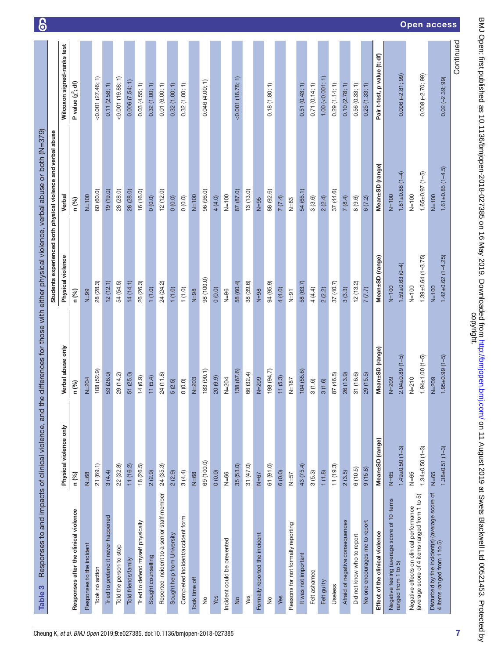| Responses to and impacts of clinical violence, and th<br>S<br><b>Table</b>                |                                |                                    |                                     | e differences for those with either physical violence, verbal abuse or both (N=379)<br>Students experienced both physical violence and verbal abuse |                              |
|-------------------------------------------------------------------------------------------|--------------------------------|------------------------------------|-------------------------------------|-----------------------------------------------------------------------------------------------------------------------------------------------------|------------------------------|
|                                                                                           | Physical violence only         | Verbal abuse only                  | Physical violence                   | Verbal                                                                                                                                              | Wilcoxon signed-ranks test   |
| Responses after the clinical violence                                                     | n (%)                          | n (%)                              | n (%)                               | n (%)                                                                                                                                               | P value $(\chi^2, df)$       |
| Responses to the incident                                                                 | $N = 68$                       | $N = 204$                          | $N=99$                              | $N=100$                                                                                                                                             |                              |
| Took no action                                                                            | 21(69.1)                       | 108 (52.9)                         | 28 (28.3)                           | 60 (60.0)                                                                                                                                           | $< 0.001$ (27.46; 1)         |
| Tried to pretend it never happened                                                        | 3(4.4)                         | 53 (26.0)                          | 12(12.1)                            | 19(19.0)                                                                                                                                            | 0.11(2.58; 1)                |
| Told the person to stop                                                                   | 22 (32.8)                      | 29 (14.2)                          | 54 (54.5)                           | 28(28.0)                                                                                                                                            | ╒<br>$<0.001$ (19.88;        |
| Told friends/family                                                                       | 11(16.2)                       | 51 (25.0)                          | 14(14.1)                            | 28 (28.0)                                                                                                                                           | 0.006(7.54; 1)               |
| Tried to defend myself physically                                                         | 18 (26.5)                      | 14(6.9)                            | 26 (26.3)                           | 16 (16.0)                                                                                                                                           | 0.03(4.55; 1)                |
| Sought counselling                                                                        | 2(2.9)                         | 11(5.4)                            | 1(1.0)                              | 0(0.0)                                                                                                                                              | 0.32(1.00; 1)                |
| Reported incident to a senior staff member                                                | 24 (35.3)                      | 24 (11.8)                          | 24 (24.2)                           | 12 (12.0)                                                                                                                                           | 0.01(6.00; 1)                |
| Sought help from University                                                               | 2(2.9)                         | 5(2.5)                             | 1(1.0)                              | 0(0.0)                                                                                                                                              | 0.32(1.00; 1)                |
| Completed incident/accident form                                                          | 3(4.4)                         | 0(0.0)                             | 1(1.0)                              | 0(0.0)                                                                                                                                              | 0.32(1.00; 1)                |
| Took time off                                                                             | $N = 68$                       | $N = 203$                          | $N=98$                              | $N=100$                                                                                                                                             |                              |
| $\frac{1}{2}$                                                                             | 69 (100.0)                     | 183 (90.1)                         | 98 (100.0)                          | 96 (96.0)                                                                                                                                           | 0.046(4.00; 1)               |
| Yes                                                                                       | 0(0.0)                         | 20(9.9)                            | 0(0.0)                              | 4 (4.0)                                                                                                                                             |                              |
| Incident could be prevented                                                               | $N = 66$                       | $N = 204$                          | $N=96$                              | $N=100$                                                                                                                                             |                              |
| $\frac{1}{2}$                                                                             | 35 (53.0)                      | 138 (67.6)                         | 58 (60.4)                           | 87 (87.0)                                                                                                                                           | (18.78, 1)                   |
| Yes                                                                                       | 31 (47.0)                      | 66 (32.4)                          | 38 (39.6)                           | 13(13.0)                                                                                                                                            |                              |
| Formally reported the incident                                                            | $N = 67$                       | $N=209$                            | $N=98$                              | $N=95$                                                                                                                                              |                              |
| $\frac{1}{2}$                                                                             | 61 (91.0)                      | 198 (94.7)                         | 94 (95.9)                           | 88 (92.6)                                                                                                                                           | 0.18(1.80; 1)                |
| Yes                                                                                       | 6(0.0)                         | 11(5.3)                            | 4(4.0)                              | 7(7.4)                                                                                                                                              |                              |
| Reasons for not formally reporting                                                        | $N = 57$                       | $N = 187$                          | $N=91$                              | $N=83$                                                                                                                                              |                              |
| It was not important                                                                      | 43 (75.4)                      | 104(55.6)                          | 58 (63.7)                           | 54 (65.1)                                                                                                                                           | 0.51(0.43; 1)                |
| Felt ashamed                                                                              | 3(5.3)                         | 3(1.6)                             | 4(4.4)                              | 3(3.6)                                                                                                                                              | 0.71(0.14; 1)                |
| Felt guilty                                                                               | 1(1.8)                         | 3(1.6)                             | 2(2.2)                              | 2(2.4)                                                                                                                                              | $1.00$ (< $0.001; 1$ )       |
| Useless                                                                                   | 11(19.3)                       | 87 (46.5)                          | 37 (40.7)                           | 37 (44.6)                                                                                                                                           | 0.29(1.14; 1)                |
| Afraid of negative consequences                                                           | 2(3.5)                         | 26(13.9)                           | 3(3.3)                              | 7(8.4)                                                                                                                                              | 0.10(2.78; 1)                |
| Did not know who to report                                                                | 6(10.5)                        | 31 (16.6)                          | 12(13.2)                            | 8(9.6)                                                                                                                                              | 0.56(0.33; 1)                |
| No one encourages me to report                                                            | 9(15.8)                        | 29(15.5)                           | 7(7.7)                              | 6(7.2)                                                                                                                                              | 0.25(1.33; 1)                |
| Effect of the clinical violence                                                           | Mean±SD (range)                | Mean±SD (range)                    | Mean±SD (range)                     | Mean±SD (range)                                                                                                                                     | Pair t-test, p value (t; df) |
| Negative feeling (average score of 10 items<br>ranged from 1 to 5)                        | $N = 65$                       | $N=209$                            | $N=100$                             | $N=100$                                                                                                                                             |                              |
|                                                                                           | $1.49 \pm 0.50$ (1-3)          | $2.04 \pm 0.89$ (1-5)              | $1.59 \pm 0.63$ (0-4)               | $1.81 \pm 0.88$ (1-4)                                                                                                                               | $0.006(-2.81; 99)$           |
| Negative effects on clinical performance<br>(average score of 4 items ranged from 1 to 5) | $N = 65$                       | $N = 210$                          | $N=100$                             | $N = 100$                                                                                                                                           |                              |
|                                                                                           | $1.34 \pm 0.50$ (1-3)          | $1.94 \pm 1.00$ $(1-5)$            | $1.39 \pm 0.64$ (1-3.75)            | $1.65 \pm 0.97$ (1-5)                                                                                                                               | $0.008(-2.70; 99)$           |
| Disturbed by the incident(s) (average score of<br>4 items ranged from 1 to 5)             | $1.38 + 0.51(1 - 3)$<br>$N=65$ | $1.95 \pm 0.99$ $(1-5)$<br>$N=209$ | $1.42 \pm 0.62$ (1-4.25)<br>$N=100$ | $1.61 \pm 0.85$ $(1 - 4.5)$<br>$N=100$                                                                                                              | $0.02(-2.39; 99)$            |
|                                                                                           |                                |                                    |                                     |                                                                                                                                                     | Continued                    |

1 Q

BMJ Open: first published as 10.1136/bmjopen-2018-027385 on 16 May 2019. Downloaded from http://bmjopen.bmj.com/ on 11 August 2019 at Swets Blackwell Ltd 00521453. Protected by<br>copyright. BMJ Open: first published as 10.1136/bmjopen-2018-014-2018. Downloaded from <http://bmjopen.bmj.com/> on 11 August 2019 at Swets Blackwell Ltd 00521453. Protected by

Open access

<span id="page-6-0"></span>7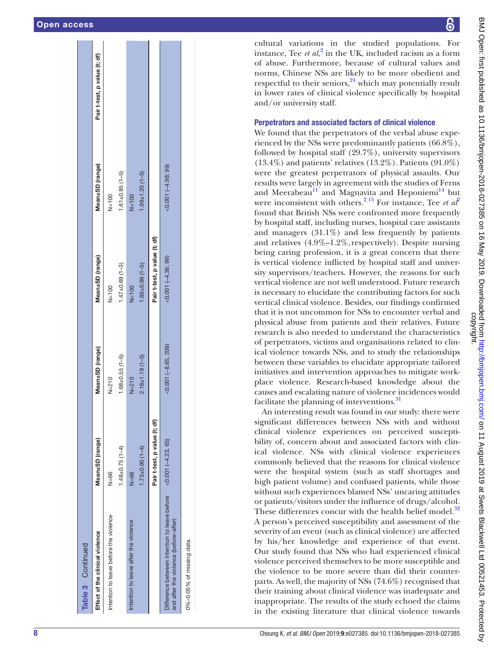| Table 3 Continued                                                                     |                              |                         |                              |                         |                              |
|---------------------------------------------------------------------------------------|------------------------------|-------------------------|------------------------------|-------------------------|------------------------------|
| Effect of the clinical violence                                                       | Mean±SD (range)              | Mean±SD (range)         | Mean±SD (range)              | Mean±SD (range)         | Pair t-test, p value (t; df) |
| Intention to leave before the violence                                                | $N = 66$                     | $N = 210$               | $N=100$                      | $N=100$                 |                              |
|                                                                                       | $1.48 \pm 0.75$ (1-4)        | $1.68 \pm 0.55$ $(1-5)$ | $1.47 \pm 0.69$ (1-3)        | $1.61 \pm 0.85$ $(1-5)$ |                              |
| Intention to leave after the violence                                                 | $N = 66$                     | $N = 210$               | $N=100$                      | $N=100$                 |                              |
|                                                                                       | $1.73 \pm 0.90$ $(1-4)$      | $2.18 + 1.19(1 - 5)$    | $1.69 \pm 0.96$ (1-5)        | $1.99 \pm 1.20$ (1-5)   |                              |
|                                                                                       | Pair t-test, p value (t; df) |                         | Pair t-test, p value (t; df) |                         |                              |
| Difference between intention to leave before<br>and after the violence (before-after) | $(0.001 (-4.23, 65))$        | $(0.001 (-8.65, 209))$  | $(0.001 (-4.36, 99))$        | $(0.001 (-4.98, 99))$   |                              |
| 0%-0.05% of missing data.                                                             |                              |                         |                              |                         |                              |

BMJ Open: first published as 10.1136/bmjopen-2018-027385 on 16 May 2019. Downloaded from http://bmjopen.bmj.com/ on 11 August 2019 at Swets Blackwell Ltd 00521453. Protected by<br>copyright. BMJ Open: first published as 10.1136/bmjopen-2018-014-2018. Downloaded from <http://bmjopen.bmj.com/> on 11 August 2019 at Swets Blackwell Ltd 00521453. Protected by

cultural variations in the studied populations. For instance, Tee  $et al<sup>2</sup>$  $et al<sup>2</sup>$  $et al<sup>2</sup>$  in the UK, included racism as a form of abuse. Furthermore, because of cultural values and norms, Chinese NSs are likely to be more obedient and respectful to their seniors,<sup>24</sup> which may potentially result in lower rates of clinical violence specifically by hospital and/or university staff.

## Perpetrators and associated factors of clinical violence

We found that the perpetrators of the verbal abuse experienced by the NSs were predominantly patients (66.8%), followed by hospital staff (29.7%), university supervisors (13.4%) and patients' relatives (13.2%). Patients (91.0%) were the greatest perpetrators of physical assaults. Our results were largely in agreement with the studies of Ferns and Meerabeau<sup>11</sup> and Magnavita and Heponiemi<sup>14</sup> but were inconsistent with others.<sup>[2 15](#page-9-1)</sup> For instance, Tee *et al*<sup>[2](#page-9-1)</sup> found that British NSs were confronted more frequently by hospital staff, including nurses, hospital care assistants and managers  $(31.1\%)$  and less frequently by patients and relatives (4.9%–1.2%, respectively). Despite nursing being caring profession, it is a great concern that there is vertical violence inflicted by hospital staff and university supervisors/teachers. However, the reasons for such vertical violence are not well understood. Future research is necessary to elucidate the contributing factors for such vertical clinical violence. Besides, our findings confirmed that it is not uncommon for NSs to encounter verbal and physical abuse from patients and their relatives. Future research is also needed to understand the characteristics of perpetrators, victims and organisations related to clin ical violence towards NSs, and to study the relationships between these variables to elucidate appropriate tailored initiatives and intervention approaches to mitigate workplace violence. Research-based knowledge about the causes and escalating nature of violence incidences would facilitate the planning of interventions.<sup>[31](#page-9-26)</sup>

An interesting result was found in our study: there were significant differences between NSs with and without clinical violence experiences on perceived suscepti bility of, concern about and associated factors with clinical violence. NSs with clinical violence experiences commonly believed that the reasons for clinical violence were the hospital system (such as staff shortages and high patient volume) and confused patients, while those without such experiences blamed NSs' uncaring attitudes or patients/visitors under the influence of drugs/alcohol. These differences concur with the health belief model.<sup>[32](#page-9-27)</sup> A person's perceived susceptibility and assessment of the severity of an event (such as clinical violence) are affected by his/her knowledge and experience of that event. Our study found that NSs who had experienced clinical violence perceived themselves to be more susceptible and the violence to be more severe than did their counterparts. As well, the majority of NSs (74.6%) recognised that their training about clinical violence was inadequate and inappropriate. The results of the study echoed the claims in the existing literature that clinical violence towards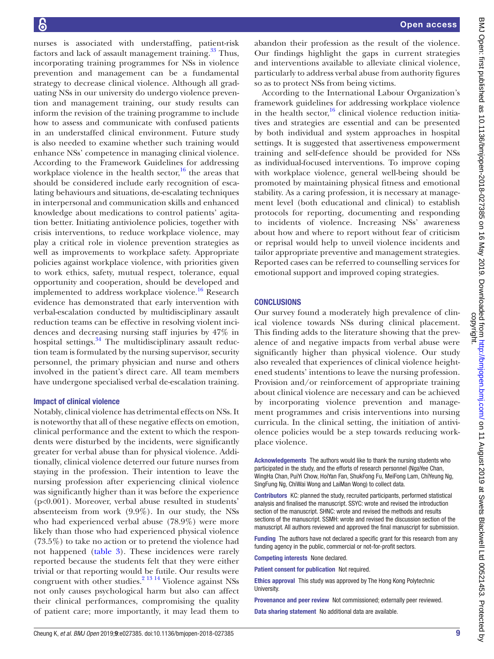nurses is associated with understaffing, patient-risk factors and lack of assault management training.<sup>33</sup> Thus, incorporating training programmes for NSs in violence prevention and management can be a fundamental strategy to decrease clinical violence. Although all graduating NSs in our university do undergo violence prevention and management training, our study results can inform the revision of the training programme to include how to assess and communicate with confused patients in an understaffed clinical environment. Future study is also needed to examine whether such training would enhance NSs' competence in managing clinical violence. According to the Framework Guidelines for addressing workplace violence in the health sector, $16$  the areas that should be considered include early recognition of escalating behaviours and situations, de-escalating techniques in interpersonal and communication skills and enhanced knowledge about medications to control patients' agitation better. Initiating antiviolence policies, together with crisis interventions, to reduce workplace violence, may play a critical role in violence prevention strategies as well as improvements to workplace safety. Appropriate policies against workplace violence, with priorities given to work ethics, safety, mutual respect, tolerance, equal opportunity and cooperation, should be developed and implemented to address workplace violence.<sup>16</sup> Research evidence has demonstrated that early intervention with verbal-escalation conducted by multidisciplinary assault reduction teams can be effective in resolving violent incidences and decreasing nursing staff injuries by 47% in hospital settings.<sup>34</sup> The multidisciplinary assault reduction team is formulated by the nursing supervisor, security personnel, the primary physician and nurse and others involved in the patient's direct care. All team members have undergone specialised verbal de-escalation training.

#### Impact of clinical violence

Notably, clinical violence has detrimental effects on NSs. It is noteworthy that all of these negative effects on emotion, clinical performance and the extent to which the respondents were disturbed by the incidents, were significantly greater for verbal abuse than for physical violence. Additionally, clinical violence deterred our future nurses from staying in the profession. Their intention to leave the nursing profession after experiencing clinical violence was significantly higher than it was before the experience (p<0.001). Moreover, verbal abuse resulted in students' absenteeism from work (9.9%). In our study, the NSs who had experienced verbal abuse (78.9%) were more likely than those who had experienced physical violence (73.5%) to take no action or to pretend the violence had not happened [\(table](#page-6-0) 3). These incidences were rarely reported because the students felt that they were either trivial or that reporting would be futile. Our results were congruent with other studies. $2^{13}$  14 Violence against NSs not only causes psychological harm but also can affect their clinical performances, compromising the quality of patient care; more importantly, it may lead them to

abandon their profession as the result of the violence. Our findings highlight the gaps in current strategies and interventions available to alleviate clinical violence, particularly to address verbal abuse from authority figures so as to protect NSs from being victims.

According to the International Labour Organization's framework guidelines for addressing workplace violence in the health sector, $16$  clinical violence reduction initiatives and strategies are essential and can be presented by both individual and system approaches in hospital settings. It is suggested that assertiveness empowerment training and self-defence should be provided for NSs as individual-focused interventions. To improve coping with workplace violence, general well-being should be promoted by maintaining physical fitness and emotional stability. As a caring profession, it is necessary at management level (both educational and clinical) to establish protocols for reporting, documenting and responding to incidents of violence. Increasing NSs' awareness about how and where to report without fear of criticism or reprisal would help to unveil violence incidents and tailor appropriate preventive and management strategies. Reported cases can be referred to counselling services for emotional support and improved coping strategies.

# **CONCLUSIONS**

Our survey found a moderately high prevalence of clinical violence towards NSs during clinical placement. This finding adds to the literature showing that the prevalence of and negative impacts from verbal abuse were significantly higher than physical violence. Our study also revealed that experiences of clinical violence heightened students' intentions to leave the nursing profession. Provision and/or reinforcement of appropriate training about clinical violence are necessary and can be achieved by incorporating violence prevention and management programmes and crisis interventions into nursing curricula. In the clinical setting, the initiation of antiviolence policies would be a step towards reducing workplace violence.

Acknowledgements The authors would like to thank the nursing students who participated in the study, and the efforts of research personnel (NgaYee Chan, WingHa Chan, PuiYi Chow, HoiYan Fan, ShukFong Fu, MeiFong Lam, ChiYeung Ng, SingFung Ng, ChiWai Wong and LaiMan Wong) to collect data.

Contributors KC: planned the study, recruited participants, performed statistical analysis and finalised the manuscript. SSYC: wrote and revised the introduction section of the manuscript. SHNC: wrote and revised the methods and results sections of the manuscript. SSMH: wrote and revised the discussion section of the manuscript. All authors reviewed and approved the final manuscript for submission.

Funding The authors have not declared a specific grant for this research from any funding agency in the public, commercial or not-for-profit sectors.

Competing interests None declared.

Patient consent for publication Not required.

Ethics approval This study was approved by The Hong Kong Polytechnic University.

Provenance and peer review Not commissioned; externally peer reviewed. Data sharing statement No additional data are available.